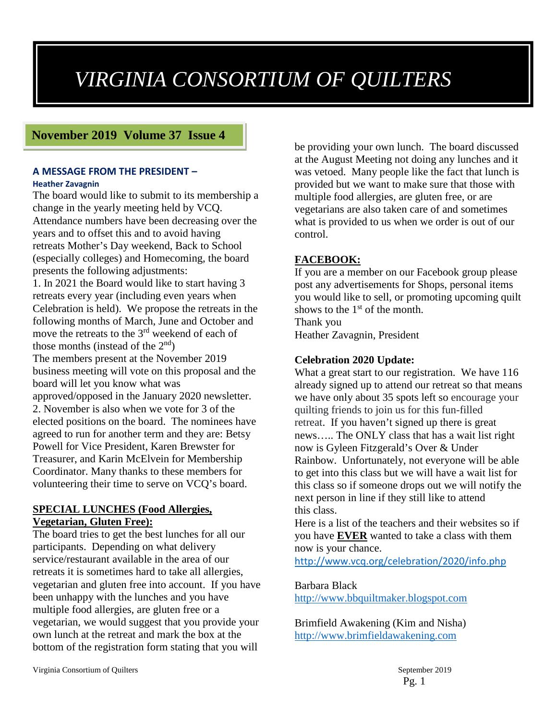# *VIRGINIA CONSORTIUM OF QUILTERS*

# **November 2019 Volume 37 Issue 4**

#### **A MESSAGE FROM THE PRESIDENT – Heather Zavagnin**

The board would like to submit to its membership a change in the yearly meeting held by VCQ. Attendance numbers have been decreasing over the years and to offset this and to avoid having retreats Mother's Day weekend, Back to School (especially colleges) and Homecoming, the board presents the following adjustments: 1. In 2021 the Board would like to start having 3 retreats every year (including even years when Celebration is held). We propose the retreats in the following months of March, June and October and move the retreats to the 3<sup>rd</sup> weekend of each of those months (instead of the  $2<sup>nd</sup>$ ) The members present at the November 2019 business meeting will vote on this proposal and the board will let you know what was approved/opposed in the January 2020 newsletter. 2. November is also when we vote for 3 of the elected positions on the board. The nominees have agreed to run for another term and they are: Betsy Powell for Vice President, Karen Brewster for Treasurer, and Karin McElvein for Membership Coordinator. Many thanks to these members for volunteering their time to serve on VCQ's board.

### **SPECIAL LUNCHES (Food Allergies, Vegetarian, Gluten Free):**

The board tries to get the best lunches for all our participants. Depending on what delivery service/restaurant available in the area of our retreats it is sometimes hard to take all allergies, vegetarian and gluten free into account. If you have been unhappy with the lunches and you have multiple food allergies, are gluten free or a vegetarian, we would suggest that you provide your own lunch at the retreat and mark the box at the bottom of the registration form stating that you will

be providing your own lunch. The board discussed at the August Meeting not doing any lunches and it was vetoed. Many people like the fact that lunch is provided but we want to make sure that those with multiple food allergies, are gluten free, or are vegetarians are also taken care of and sometimes what is provided to us when we order is out of our control.

# **FACEBOOK:**

If you are a member on our Facebook group please post any advertisements for Shops, personal items you would like to sell, or promoting upcoming quilt shows to the  $1<sup>st</sup>$  of the month. Thank you

Heather Zavagnin, President

# **Celebration 2020 Update:**

What a great start to our registration. We have 116 already signed up to attend our retreat so that means we have only about 35 spots left so encourage your quilting friends to join us for this fun-filled retreat. If you haven't signed up there is great news….. The ONLY class that has a wait list right now is Gyleen Fitzgerald's Over & Under Rainbow. Unfortunately, not everyone will be able to get into this class but we will have a wait list for this class so if someone drops out we will notify the next person in line if they still like to attend this class.

Here is a list of the teachers and their websites so if you have **EVER** wanted to take a class with them now is your chance.

<http://www.vcq.org/celebration/2020/info.php>

#### Barbara Black

[http://www.bbquiltmaker.blogspot.com](http://www.bbquiltmaker.blogspot.com/)

Brimfield Awakening (Kim and Nisha) [http://www.brimfieldawakening.com](http://www.brimfieldawakening.com/)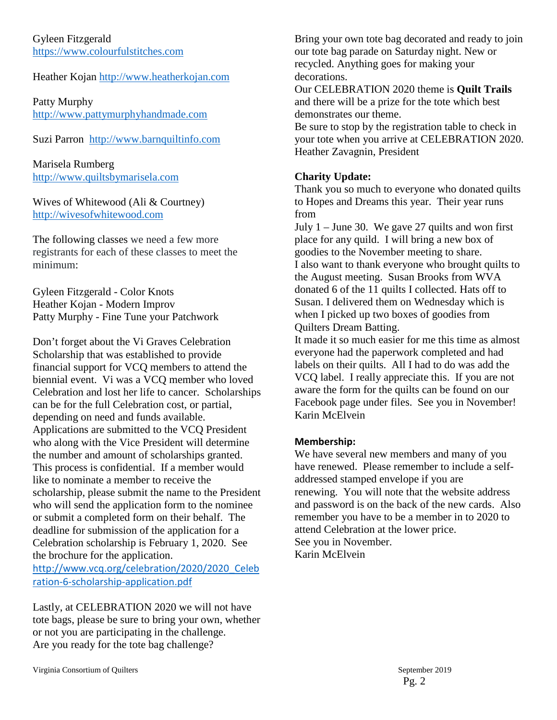Gyleen Fitzgerald [https://www.colourfulstitches.com](https://www.colourfulstitches.com/)

# Heather Kojan [http://www.heatherkojan.com](http://www.heatherkojan.com/)

Patty Murphy [http://www.pattymurphyhandmade.com](http://www.pattymurphyhandmade.com/)

Suzi Parron [http://www.barnquiltinfo.com](http://www.barnquiltinfo.com/)

Marisela Rumberg [http://www.quiltsbymarisela.com](http://www.quiltsbymarisela.com/)

Wives of Whitewood (Ali & Courtney) [http://wivesofwhitewood.com](http://wivesofwhitewood.com/)

The following classes we need a few more registrants for each of these classes to meet the minimum:

Gyleen Fitzgerald - Color Knots Heather Kojan - Modern Improv Patty Murphy - Fine Tune your Patchwork

Don't forget about the Vi Graves Celebration Scholarship that was established to provide financial support for VCQ members to attend the biennial event. Vi was a VCQ member who loved Celebration and lost her life to cancer. Scholarships can be for the full Celebration cost, or partial, depending on need and funds available. Applications are submitted to the VCQ President who along with the Vice President will determine the number and amount of scholarships granted. This process is confidential. If a member would like to nominate a member to receive the scholarship, please submit the name to the President who will send the application form to the nominee or submit a completed form on their behalf. The deadline for submission of the application for a Celebration scholarship is February 1, 2020. See the brochure for the application. [http://www.vcq.org/celebration/2020/2020\\_Celeb](http://www.vcq.org/celebration/2020/2020_Celebration-6-scholarship-application.pdf) [ration-6-scholarship-application.pdf](http://www.vcq.org/celebration/2020/2020_Celebration-6-scholarship-application.pdf)

Lastly, at CELEBRATION 2020 we will not have tote bags, please be sure to bring your own, whether or not you are participating in the challenge. Are you ready for the tote bag challenge?

Bring your own tote bag decorated and ready to join our tote bag parade on Saturday night. New or recycled. Anything goes for making your decorations.

Our CELEBRATION 2020 theme is **Quilt Trails** and there will be a prize for the tote which best demonstrates our theme.

Be sure to stop by the registration table to check in your tote when you arrive at CELEBRATION 2020. Heather Zavagnin, President

# **Charity Update:**

Thank you so much to everyone who donated quilts to Hopes and Dreams this year. Their year runs from

July  $1 -$  June 30. We gave 27 quilts and won first place for any quild. I will bring a new box of goodies to the November meeting to share. I also want to thank everyone who brought quilts to the August meeting. Susan Brooks from WVA donated 6 of the 11 quilts I collected. Hats off to Susan. I delivered them on Wednesday which is when I picked up two boxes of goodies from Quilters Dream Batting.

It made it so much easier for me this time as almost everyone had the paperwork completed and had labels on their quilts. All I had to do was add the VCQ label. I really appreciate this. If you are not aware the form for the quilts can be found on our Facebook page under files. See you in November! Karin McElvein

# **Membership:**

We have several new members and many of you have renewed. Please remember to include a selfaddressed stamped envelope if you are renewing. You will note that the website address and password is on the back of the new cards. Also remember you have to be a member in to 2020 to attend Celebration at the lower price. See you in November. Karin McElvein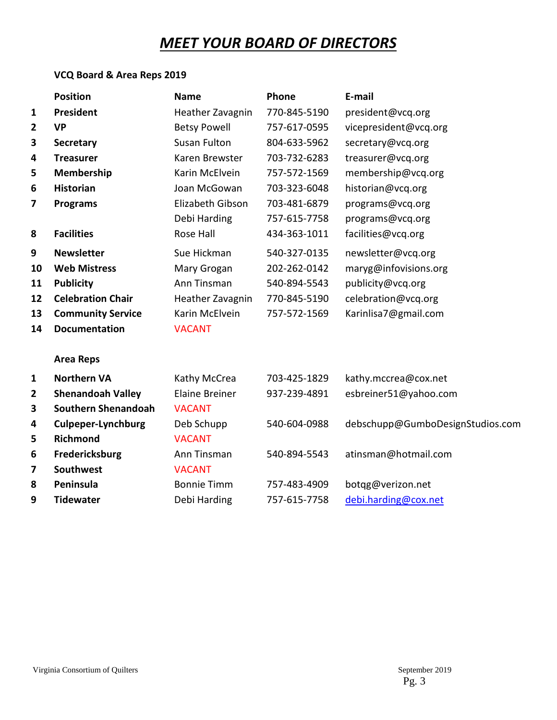# *MEET YOUR BOARD OF DIRECTORS*

# **VCQ Board & Area Reps 2019**

|                | <b>Position</b>            | <b>Name</b>           | Phone        | E-mail                           |
|----------------|----------------------------|-----------------------|--------------|----------------------------------|
| 1              | President                  | Heather Zavagnin      | 770-845-5190 | president@vcq.org                |
| $\overline{2}$ | <b>VP</b>                  | <b>Betsy Powell</b>   | 757-617-0595 | vicepresident@vcq.org            |
| 3              | <b>Secretary</b>           | <b>Susan Fulton</b>   | 804-633-5962 | secretary@vcq.org                |
| 4              | <b>Treasurer</b>           | Karen Brewster        | 703-732-6283 | treasurer@vcq.org                |
| 5              | <b>Membership</b>          | Karin McElvein        | 757-572-1569 | membership@vcq.org               |
| 6              | <b>Historian</b>           | Joan McGowan          | 703-323-6048 | historian@vcq.org                |
| 7              | <b>Programs</b>            | Elizabeth Gibson      | 703-481-6879 | programs@vcq.org                 |
|                |                            | Debi Harding          | 757-615-7758 | programs@vcq.org                 |
| 8              | <b>Facilities</b>          | Rose Hall             | 434-363-1011 | facilities@vcq.org               |
| 9              | <b>Newsletter</b>          | Sue Hickman           | 540-327-0135 | newsletter@vcq.org               |
| 10             | <b>Web Mistress</b>        | Mary Grogan           | 202-262-0142 | maryg@infovisions.org            |
| 11             | <b>Publicity</b>           | Ann Tinsman           | 540-894-5543 | publicity@vcq.org                |
| 12             | <b>Celebration Chair</b>   | Heather Zavagnin      | 770-845-5190 | celebration@vcq.org              |
| 13             | <b>Community Service</b>   | Karin McElvein        | 757-572-1569 | Karinlisa7@gmail.com             |
| 14             | <b>Documentation</b>       | <b>VACANT</b>         |              |                                  |
|                | <b>Area Reps</b>           |                       |              |                                  |
| 1              | <b>Northern VA</b>         | Kathy McCrea          | 703-425-1829 | kathy.mccrea@cox.net             |
| 2              | <b>Shenandoah Valley</b>   | <b>Elaine Breiner</b> | 937-239-4891 | esbreiner51@yahoo.com            |
| 3              | <b>Southern Shenandoah</b> | <b>VACANT</b>         |              |                                  |
| 4              | <b>Culpeper-Lynchburg</b>  | Deb Schupp            | 540-604-0988 | debschupp@GumboDesignStudios.com |
| 5              | <b>Richmond</b>            | <b>VACANT</b>         |              |                                  |
| 6              | Fredericksburg             | Ann Tinsman           | 540-894-5543 | atinsman@hotmail.com             |
| 7              | <b>Southwest</b>           | <b>VACANT</b>         |              |                                  |
| 8              | Peninsula                  | <b>Bonnie Timm</b>    | 757-483-4909 | botqg@verizon.net                |
| 9              | <b>Tidewater</b>           | Debi Harding          | 757-615-7758 | debi.harding@cox.net             |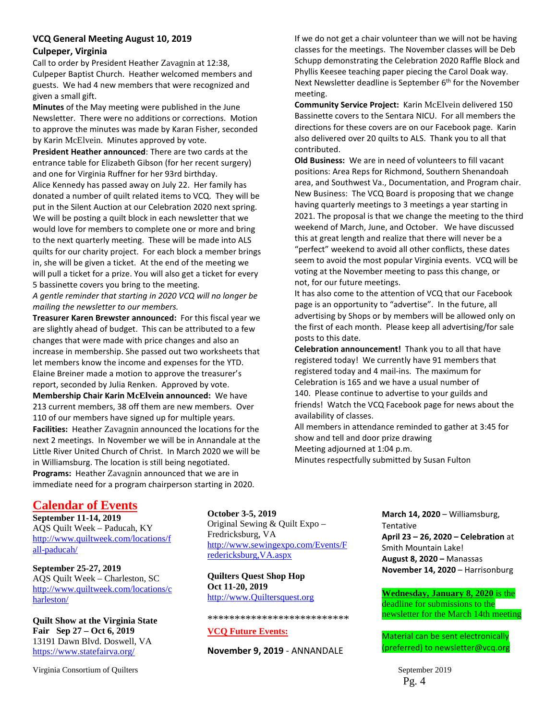#### **VCQ General Meeting August 10, 2019 Culpeper, Virginia**

Call to order by President Heather Zavagnin at 12:38, Culpeper Baptist Church. Heather welcomed members and guests. We had 4 new members that were recognized and given a small gift.

**Minutes** of the May meeting were published in the June Newsletter. There were no additions or corrections. Motion to approve the minutes was made by Karan Fisher, seconded by Karin McElvein. Minutes approved by vote.

**President Heather announced**: There are two cards at the entrance table for Elizabeth Gibson (for her recent surgery) and one for Virginia Ruffner for her 93rd birthday. Alice Kennedy has passed away on July 22. Her family has donated a number of quilt related items to VCQ. They will be put in the Silent Auction at our Celebration 2020 next spring. We will be posting a quilt block in each newsletter that we would love for members to complete one or more and bring to the next quarterly meeting. These will be made into ALS quilts for our charity project. For each block a member brings in, she will be given a ticket. At the end of the meeting we will pull a ticket for a prize. You will also get a ticket for every 5 bassinette covers you bring to the meeting.

*A gentle reminder that starting in 2020 VCQ will no longer be mailing the newsletter to our members.* 

**Treasurer Karen Brewster announced:** For this fiscal year we are slightly ahead of budget. This can be attributed to a few changes that were made with price changes and also an increase in membership. She passed out two worksheets that let members know the income and expenses for the YTD. Elaine Breiner made a motion to approve the treasurer's report, seconded by Julia Renken. Approved by vote. **Membership Chair Karin McElvein announced:** We have 213 current members, 38 off them are new members. Over 110 of our members have signed up for multiple years. **Facilities:** Heather Zavagnin announced the locations for the next 2 meetings. In November we will be in Annandale at the Little River United Church of Christ. In March 2020 we will be in Williamsburg. The location is still being negotiated. **Programs:** Heather Zavagnin announced that we are in immediate need for a program chairperson starting in 2020.

If we do not get a chair volunteer than we will not be having classes for the meetings. The November classes will be Deb Schupp demonstrating the Celebration 2020 Raffle Block and Phyllis Keesee teaching paper piecing the Carol Doak way. Next Newsletter deadline is September  $6<sup>th</sup>$  for the November meeting.

**Community Service Project:** Karin McElvein delivered 150 Bassinette covers to the Sentara NICU. For all members the directions for these covers are on our Facebook page. Karin also delivered over 20 quilts to ALS. Thank you to all that contributed.

**Old Business:** We are in need of volunteers to fill vacant positions: Area Reps for Richmond, Southern Shenandoah area, and Southwest Va., Documentation, and Program chair. New Business: The VCQ Board is proposing that we change having quarterly meetings to 3 meetings a year starting in 2021. The proposal is that we change the meeting to the third weekend of March, June, and October. We have discussed this at great length and realize that there will never be a "perfect" weekend to avoid all other conflicts, these dates seem to avoid the most popular Virginia events. VCQ will be voting at the November meeting to pass this change, or not, for our future meetings.

It has also come to the attention of VCQ that our Facebook page is an opportunity to "advertise". In the future, all advertising by Shops or by members will be allowed only on the first of each month. Please keep all advertising/for sale posts to this date.

**Celebration announcement!** Thank you to all that have registered today! We currently have 91 members that registered today and 4 mail-ins. The maximum for Celebration is 165 and we have a usual number of 140. Please continue to advertise to your guilds and friends! Watch the VCQ Facebook page for news about the availability of classes.

All members in attendance reminded to gather at 3:45 for show and tell and door prize drawing Meeting adjourned at 1:04 p.m. Minutes respectfully submitted by Susan Fulton

# **Calendar of Events**

**September 11-14, 2019** AQS Quilt Week – Paducah, KY [http://www.quiltweek.com/locations/f](http://www.quiltweek.com/locations/fall-paducah/) [all-paducah/](http://www.quiltweek.com/locations/fall-paducah/)

**September 25-27, 2019** AQS Quilt Week – Charleston, SC [http://www.quiltweek.com/locations/c](http://www.quiltweek.com/locations/charleston/) [harleston/](http://www.quiltweek.com/locations/charleston/)

**Quilt Show at the Virginia State Fair Sep 27 – Oct 6, 2019** 13191 Dawn Blvd. Doswell, VA <https://www.statefairva.org/>

Virginia Consortium of Quilters  $\blacksquare$ 

**October 3-5, 2019**

Original Sewing & Quilt Expo – Fredricksburg, VA [http://www.sewingexpo.com/Events/F](http://www.sewingexpo.com/Events/Fredericksburg,VA.aspx) [redericksburg,VA.aspx](http://www.sewingexpo.com/Events/Fredericksburg,VA.aspx)

**Quilters Quest Shop Hop Oct 11-20, 2019** http://www.Quiltersquest.org

\*\*\*\*\*\*\*\*\*\*\*\*\*\*\*\*\*\*\*\*\*\*\*\*\*\*

#### **VCQ Future Events:**

**November 9, 2019** - ANNANDALE

**March 14, 2020** – Williamsburg, Tentative **April 23 – 26, 2020 – Celebration** at Smith Mountain Lake! **August 8, 2020 –** Manassas **November 14, 2020** – Harrisonburg

**Wednesday, January 8, 2020** is the deadline for submissions to the newsletter for the March 14th meeting

Material can be sent electronically (preferred) to newsletter@vcq.org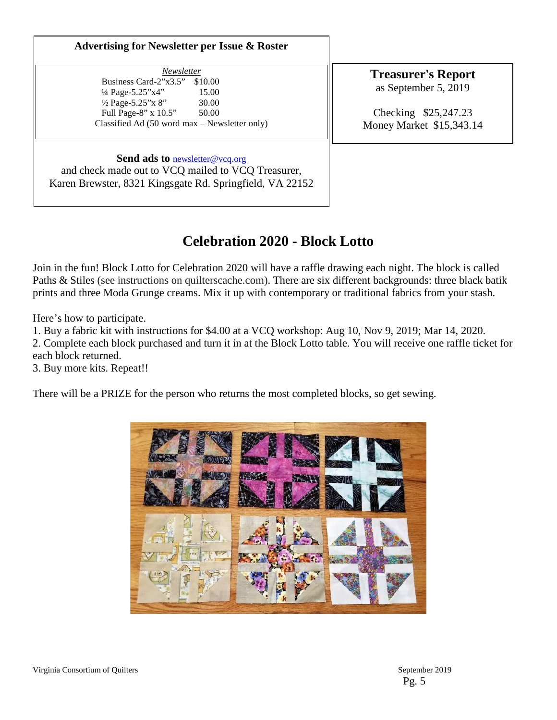#### **Advertising for Newsletter per Issue & Roster**

*Newsletter*  Business Card-2"x3.5" \$10.00 ¼ Page-5.25"x4" 15.00  $\frac{1}{2}$  Page-5.25" x 8" 30.00 Full Page-8" x 10.5" 50.00 Classified Ad (50 word max – Newsletter only)

**Treasurer's Report** as September 5, 2019

Checking \$25,247.23 Money Market \$15,343.14

### **Send ads to** [newsletter@vcq.org](mailto:newsletter@vcq.org)

and check made out to VCQ mailed to VCQ Treasurer, Karen Brewster, 8321 Kingsgate Rd. Springfield, VA 22152

# **Celebration 2020 - Block Lotto**

Join in the fun! Block Lotto for Celebration 2020 will have a raffle drawing each night. The block is called Paths & Stiles (see instructions on quilterscache.com). There are six different backgrounds: three black batik prints and three Moda Grunge creams. Mix it up with contemporary or traditional fabrics from your stash.

Here's how to participate.

1. Buy a fabric kit with instructions for \$4.00 at a VCQ workshop: Aug 10, Nov 9, 2019; Mar 14, 2020. 2. Complete each block purchased and turn it in at the Block Lotto table. You will receive one raffle ticket for each block returned.

3. Buy more kits. Repeat!!

There will be a PRIZE for the person who returns the most completed blocks, so get sewing.

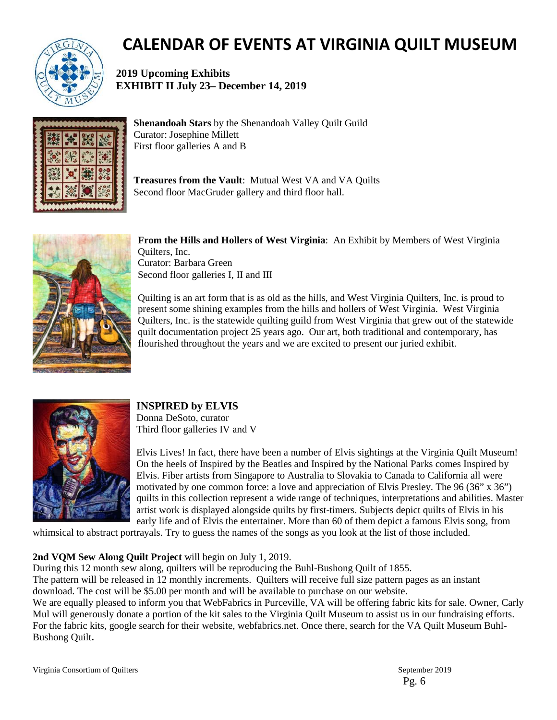

# **CALENDAR OF EVENTS AT VIRGINIA QUILT MUSEUM**

**2019 Upcoming Exhibits EXHIBIT II July 23– December 14, 2019**



**Shenandoah Stars** by the Shenandoah Valley Quilt Guild Curator: Josephine Millett First floor galleries A and B

**Treasures from the Vault**: Mutual West VA and VA Quilts Second floor MacGruder gallery and third floor hall.



**From the Hills and Hollers of West Virginia**: An Exhibit by Members of West Virginia Quilters, Inc. Curator: Barbara Green Second floor galleries I, II and III

Quilting is an art form that is as old as the hills, and West Virginia Quilters, Inc. is proud to present some shining examples from the hills and hollers of West Virginia. West Virginia Quilters, Inc. is the statewide quilting guild from West Virginia that grew out of the statewide quilt documentation project 25 years ago. Our art, both traditional and contemporary, has flourished throughout the years and we are excited to present our juried exhibit.



# **INSPIRED by ELVIS**

Donna DeSoto, curator Third floor galleries IV and V

Elvis Lives! In fact, there have been a number of Elvis sightings at the Virginia Quilt Museum! On the heels of Inspired by the Beatles and Inspired by the National Parks comes Inspired by Elvis. Fiber artists from Singapore to Australia to Slovakia to Canada to California all were motivated by one common force: a love and appreciation of Elvis Presley. The 96 (36" x 36") quilts in this collection represent a wide range of techniques, interpretations and abilities. Master artist work is displayed alongside quilts by first-timers. Subjects depict quilts of Elvis in his early life and of Elvis the entertainer. More than 60 of them depict a famous Elvis song, from

whimsical to abstract portrayals. Try to guess the names of the songs as you look at the list of those included.

# **2nd VQM Sew Along Quilt Project** will begin on July 1, 2019.

During this 12 month sew along, quilters will be reproducing the Buhl-Bushong Quilt of 1855. The pattern will be released in 12 monthly increments. Quilters will receive full size pattern pages as an instant download. The cost will be \$5.00 per month and will be available to purchase on our website. We are equally pleased to inform you that WebFabrics in Purceville, VA will be offering fabric kits for sale. Owner, Carly Mul will generously donate a portion of the kit sales to the Virginia Quilt Museum to assist us in our fundraising efforts. For the fabric kits, google search for their website, webfabrics.net. Once there, search for the VA Quilt Museum Buhl-Bushong Quilt**.** 

Virginia Consortium of Quilters  $\sim$  2019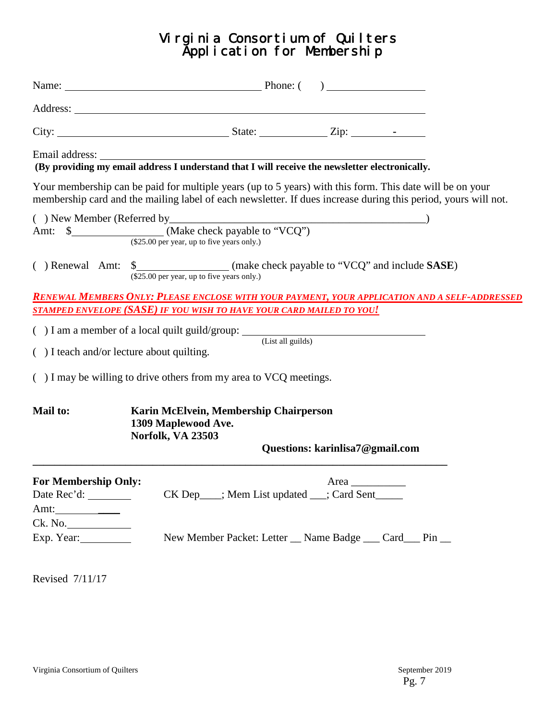# Virginia Consortium of Quilters Application for Membership

|                                                            | Name: <u>Name:</u> Phone: ( )                                                                                                                                                                                              |
|------------------------------------------------------------|----------------------------------------------------------------------------------------------------------------------------------------------------------------------------------------------------------------------------|
|                                                            |                                                                                                                                                                                                                            |
|                                                            |                                                                                                                                                                                                                            |
|                                                            |                                                                                                                                                                                                                            |
|                                                            | Your membership can be paid for multiple years (up to 5 years) with this form. This date will be on your<br>membership card and the mailing label of each newsletter. If dues increase during this period, yours will not. |
|                                                            | () New Member (Referred by $\frac{M}{\text{Make check payable to "VCQ"}}$ (Make check payable to "VCQ")                                                                                                                    |
|                                                            | (\$25.00 per year, up to five years only.)                                                                                                                                                                                 |
|                                                            | RENEWAL MEMBERS ONLY: PLEASE ENCLOSE WITH YOUR PAYMENT, YOUR APPLICATION AND A SELF-ADDRESSED<br><u>STAMPED ENVELOPE (SASE) IF YOU WISH TO HAVE YOUR CARD MAILED TO YOU!</u>                                               |
|                                                            | $( ) I$ am a member of a local quilt guild/group: $($ List all guilds)                                                                                                                                                     |
| () I teach and/or lecture about quilting.                  |                                                                                                                                                                                                                            |
|                                                            | () I may be willing to drive others from my area to VCQ meetings.                                                                                                                                                          |
| Mail to:                                                   | Karin McElvein, Membership Chairperson<br>1309 Maplewood Ave.<br>Norfolk, VA 23503                                                                                                                                         |
|                                                            | Questions: karinlisa7@gmail.com                                                                                                                                                                                            |
| <b>For Membership Only:</b><br>Amt: $\_\_\_\_\_\_\_\_\_\_$ | Area<br>CK Dep___; Mem List updated __; Card Sent_____                                                                                                                                                                     |
| Ck. No.<br>Exp. Year:                                      | New Member Packet: Letter __ Name Badge ___ Card __ Pin __                                                                                                                                                                 |
| Revised 7/11/17                                            |                                                                                                                                                                                                                            |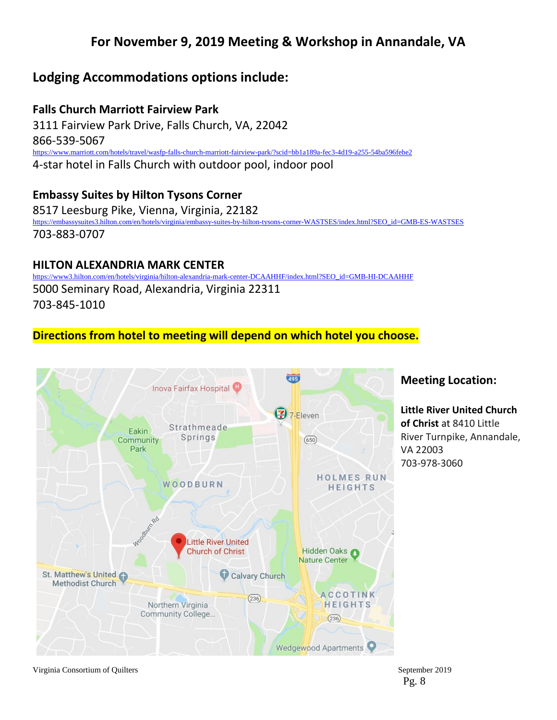# **For November 9, 2019 Meeting & Workshop in Annandale, VA**

# **Lodging Accommodations options include:**

**Falls Church Marriott Fairview Park** 3111 Fairview Park Drive, Falls Church, VA, 22042 866-539-5067 <https://www.marriott.com/hotels/travel/wasfp-falls-church-marriott-fairview-park/?scid=bb1a189a-fec3-4d19-a255-54ba596febe2> 4-star hotel in Falls Church with outdoor pool, indoor pool

# **Embassy Suites by Hilton Tysons Corner**

8517 Leesburg Pike, Vienna, Virginia, 22182 [https://embassysuites3.hilton.com/en/hotels/virginia/embassy-suites-by-hilton-tysons-corner-WASTSES/index.html?SEO\\_id=GMB-ES-WASTSES](https://embassysuites3.hilton.com/en/hotels/virginia/embassy-suites-by-hilton-tysons-corner-WASTSES/index.html?SEO_id=GMB-ES-WASTSES) 703-883-0707

# **HILTON ALEXANDRIA MARK CENTER**

//www3.hilton.com/en/hotels/virginia/hilton-alexandria-mark-center-DCAAHHF/index.html?SEO\_id=GMB-HI-DCAAHHF 5000 Seminary Road, Alexandria, Virginia 22311 703-845-1010

# **Directions from hotel to meeting will depend on which hotel you choose.**



Virginia Consortium of Quilters September 2019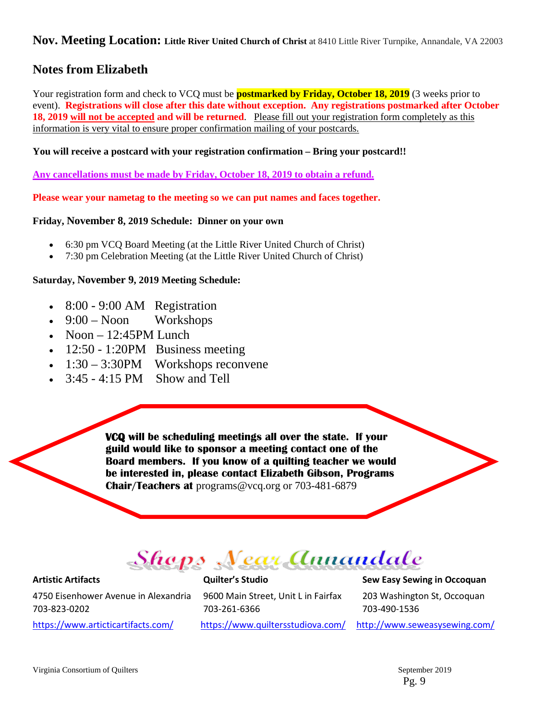### **Nov. Meeting Location: Little River United Church of Christ** at 8410 Little River Turnpike, Annandale, VA 22003

# **Notes from Elizabeth**

Your registration form and check to VCQ must be **postmarked by Friday, October 18, 2019** (3 weeks prior to event). **Registrations will close after this date without exception. Any registrations postmarked after October 18, 2019 will not be accepted and will be returned**. Please fill out your registration form completely as this information is very vital to ensure proper confirmation mailing of your postcards.

**You will receive a postcard with your registration confirmation – Bring your postcard!!**

**Any cancellations must be made by Friday, October 18, 2019 to obtain a refund.**

**Please wear your nametag to the meeting so we can put names and faces together.**

#### **Friday, November 8, 2019 Schedule: Dinner on your own**

- 6:30 pm VCQ Board Meeting (at the Little River United Church of Christ)
- 7:30 pm Celebration Meeting (at the Little River United Church of Christ)

#### **Saturday, November 9, 2019 Meeting Schedule:**

- 8:00 9:00 AM Registration
- $\bullet$  9:00 Noon Workshops
- Noon  $-12:45$ PM Lunch
- 12:50 1:20PM Business meeting
- 1:30 3:30PM Workshops reconvene
- 3:45 4:15 PM Show and Tell

**VCQ will be scheduling meetings all over the state. If your guild would like to sponsor a meeting contact one of the Board members. If you know of a quilting teacher we would be interested in, please contact Elizabeth Gibson, Programs Chair/Teachers at** programs@vcq.org or 703-481-6879

# Shops Near Annandale

4750 Eisenhower Avenue in Alexandria 9600 Main Street, Unit L in Fairfax 203 Washington St, Occoquan 703-823-0202 703-261-6366 703-490-1536

**Artistic Artifacts Quilter's Studio Sew Easy Sewing in Occoquan**

<https://www.articticartifacts.com/><https://www.quiltersstudiova.com/> <http://www.seweasysewing.com/>

Virginia Consortium of Quilters  $\sim$  2019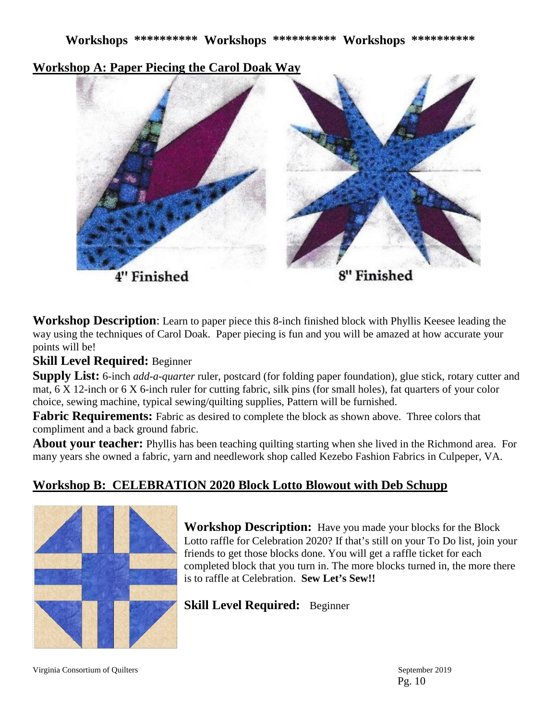**Workshop A: Paper Piecing the Carol Doak Way**



**Workshop Description**: Learn to paper piece this 8-inch finished block with Phyllis Keesee leading the way using the techniques of Carol Doak. Paper piecing is fun and you will be amazed at how accurate your points will be!

**Skill Level Required:** Beginner

**Supply List:** 6-inch *add-a-quarter* ruler, postcard (for folding paper foundation), glue stick, rotary cutter and mat, 6 X 12-inch or 6 X 6-inch ruler for cutting fabric, silk pins (for small holes), fat quarters of your color choice, sewing machine, typical sewing/quilting supplies, Pattern will be furnished.

**Fabric Requirements:** Fabric as desired to complete the block as shown above. Three colors that compliment and a back ground fabric.

**About your teacher:** Phyllis has been teaching quilting starting when she lived in the Richmond area. For many years she owned a fabric, yarn and needlework shop called Kezebo Fashion Fabrics in Culpeper, VA.

# **Workshop B: CELEBRATION 2020 Block Lotto Blowout with Deb Schupp**



**Workshop Description:** Have you made your blocks for the Block Lotto raffle for Celebration 2020? If that's still on your To Do list, join your friends to get those blocks done. You will get a raffle ticket for each completed block that you turn in. The more blocks turned in, the more there is to raffle at Celebration. **Sew Let's Sew!!**

**Skill Level Required:** Beginner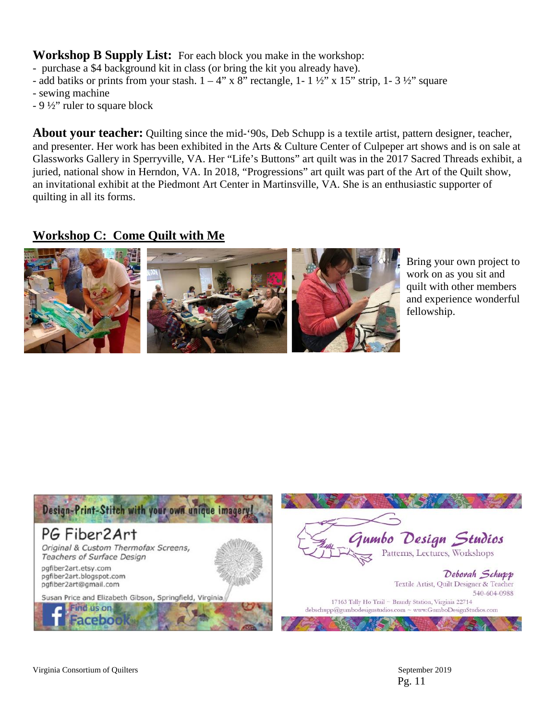**Workshop B Supply List:** For each block you make in the workshop:

- purchase a \$4 background kit in class (or bring the kit you already have).
- add batiks or prints from your stash.  $1 4$ " x 8" rectangle,  $1 1 \frac{1}{2}$ " x 15" strip,  $1 3 \frac{1}{2}$ " square
- sewing machine
- 9 ½" ruler to square block

**About your teacher:** Quilting since the mid-'90s, Deb Schupp is a textile artist, pattern designer, teacher, and presenter. Her work has been exhibited in the Arts & Culture Center of Culpeper art shows and is on sale at Glassworks Gallery in Sperryville, VA. Her "Life's Buttons" art quilt was in the 2017 Sacred Threads exhibit, a juried, national show in Herndon, VA. In 2018, "Progressions" art quilt was part of the Art of the Quilt show, an invitational exhibit at the Piedmont Art Center in Martinsville, VA. She is an enthusiastic supporter of quilting in all its forms.

# **Workshop C: Come Quilt with Me**



Bring your own project to work on as you sit and quilt with other members and experience wonderful fellowship.

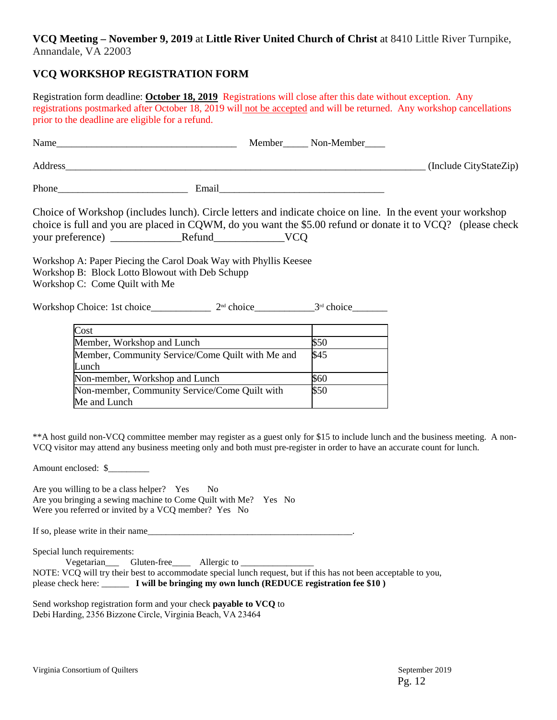#### **VCQ Meeting – November 9, 2019** at **Little River United Church of Christ** at 8410 Little River Turnpike, Annandale, VA 22003

# **VCQ WORKSHOP REGISTRATION FORM**

Registration form deadline: **October 18, 2019** Registrations will close after this date without exception. Any registrations postmarked after October 18, 2019 will not be accepted and will be returned. Any workshop cancellations prior to the deadline are eligible for a refund.

| Name    |       | Member | Non-Member |                        |
|---------|-------|--------|------------|------------------------|
| Address |       |        |            | (Include CityStateZip) |
| Phone   | Email |        |            |                        |

Choice of Workshop (includes lunch). Circle letters and indicate choice on line. In the event your workshop choice is full and you are placed in CQWM, do you want the \$5.00 refund or donate it to VCQ? (please check your preference) \_\_\_\_\_\_\_\_\_\_\_\_\_Refund\_\_\_\_\_\_\_\_\_\_\_\_\_VCQ

Workshop A: Paper Piecing the Carol Doak Way with Phyllis Keesee Workshop B: Block Lotto Blowout with Deb Schupp Workshop C: Come Quilt with Me

Workshop Choice: 1st choice\_\_\_\_\_\_\_\_\_\_\_\_\_\_  $2<sup>nd</sup>$  choice\_\_\_\_\_\_\_\_\_\_\_\_\_\_  $3<sup>rd</sup>$  choice

| Cost                                             |      |
|--------------------------------------------------|------|
| Member, Workshop and Lunch                       | \$50 |
| Member, Community Service/Come Quilt with Me and | \$45 |
| Lunch                                            |      |
| Non-member, Workshop and Lunch                   | \$60 |
| Non-member, Community Service/Come Quilt with    | \$50 |
| Me and Lunch                                     |      |

\*\*A host guild non-VCQ committee member may register as a guest only for \$15 to include lunch and the business meeting. A non-VCQ visitor may attend any business meeting only and both must pre-register in order to have an accurate count for lunch.

Amount enclosed: \$

Are you willing to be a class helper? Yes No Are you bringing a sewing machine to Come Quilt with Me? Yes No Were you referred or invited by a VCQ member? Yes No

If so, please write in their name

Special lunch requirements:

Vegetarian\_\_\_\_\_\_\_Gluten-free\_\_\_\_\_\_\_\_\_ Allergic to \_\_\_\_\_\_\_\_\_\_\_\_\_\_\_\_\_\_\_\_\_\_\_\_\_\_\_\_\_\_ NOTE: VCQ will try their best to accommodate special lunch request, but if this has not been acceptable to you, please check here: \_\_\_\_\_\_ **I will be bringing my own lunch (REDUCE registration fee \$10 )**

Send workshop registration form and your check **payable to VCQ** to Debi Harding, 2356 Bizzone Circle, Virginia Beach, VA 23464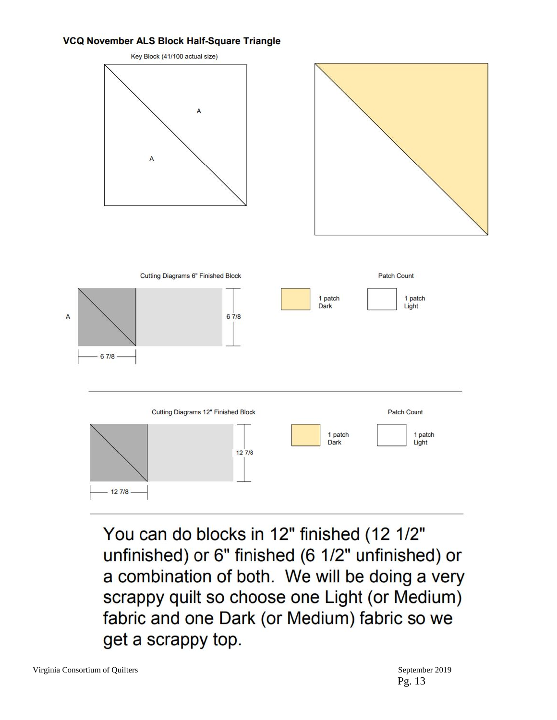#### VCQ November ALS Block Half-Square Triangle

![](_page_12_Figure_1.jpeg)

You can do blocks in 12" finished (12 1/2" unfinished) or 6" finished (6 1/2" unfinished) or a combination of both. We will be doing a very scrappy quilt so choose one Light (or Medium) fabric and one Dark (or Medium) fabric so we get a scrappy top.